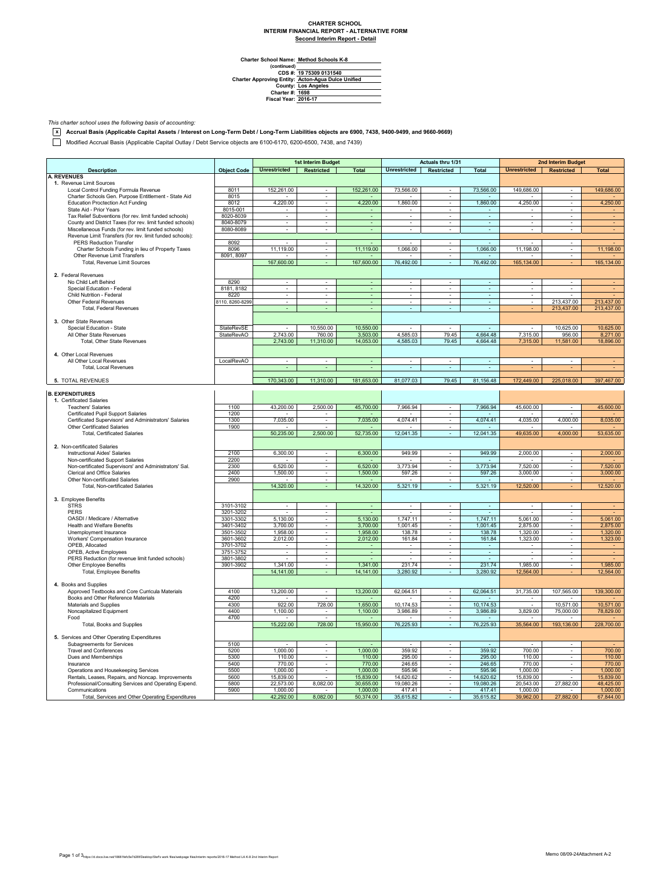## **CHARTER SCHOOL INTERIM FINANCIAL REPORT - ALTERNATIVE FORM Second Interim Report - Detail**

 $\overline{\phantom{0}}$ 

**Method Schools K-8**

Charter School Name<br>
(continued)<br>
CDS #:<br>
Charter Approving Entity:<br>
County:<br>
Charter #:<br>
Fiscal Year: **Los Angeles 1698 2016-17 19 75309 0131540 Acton-Agua Dulce Unified**

*This charter school uses the following basis of accounting:*

**x Accrual Basis (Applicable Capital Assets / Interest on Long-Term Debt / Long-Term Liabilities objects are 6900, 7438, 9400-9499, and 9660-9669)**

Modified Accrual Basis (Applicable Capital Outlay / Debt Service objects are 6100-6170, 6200-6500, 7438, and 7439)

|                                                                     |                    | 1st Interim Budget       |                             |                          | Actuals thru 1/31        |                               |                          | 2nd Interim Budget       |                          |                |
|---------------------------------------------------------------------|--------------------|--------------------------|-----------------------------|--------------------------|--------------------------|-------------------------------|--------------------------|--------------------------|--------------------------|----------------|
| <b>Description</b>                                                  | <b>Object Code</b> | <b>Unrestricted</b>      | Restricted                  | <b>Total</b>             | <b>Unrestricted</b>      | Restricted                    | <b>Total</b>             | <b>Unrestricted</b>      | Restricted               | <b>Total</b>   |
| <b>A. REVENUES</b>                                                  |                    |                          |                             |                          |                          |                               |                          |                          |                          |                |
| 1. Revenue Limit Sources                                            |                    |                          |                             |                          |                          |                               |                          |                          |                          |                |
| Local Control Funding Formula Revenue                               | 8011               | 152,261.00               | $\sim$                      | 152,261.00               | 73,566.00                | $\sim$                        | 73,566.00                | 149,686.00               |                          | 149,686.00     |
| Charter Schools Gen. Purpose Entitlement - State Aid                | 8015               |                          | τ                           |                          |                          |                               |                          |                          | ×.                       |                |
| <b>Education Proctection Act Funding</b><br>State Aid - Prior Years | 8012<br>8015-001   | 4,220.00                 | $\omega$                    | 4,220.00                 | 1,860.00                 | Ξ<br>$\omega$                 | 1,860.00                 | 4,250.00                 | ÷,                       | 4,250.00       |
| Tax Relief Subventions (for rev. limit funded schools)              | 8020-8039          | $\overline{\phantom{a}}$ | $\sim$                      | $\sim$<br>$\blacksquare$ | $\overline{\phantom{a}}$ | $\sim$                        | ÷                        | $\sim$                   | $\sim$                   |                |
| County and District Taxes (for rev. limit funded schools)           | 8040-8079          | $\sim$                   | $\sim$                      | $\blacksquare$           | $\sim$                   | $\sim$                        | $\sim$                   | $\sim$                   | $\overline{\phantom{a}}$ | ٠              |
| Miscellaneous Funds (for rev. limit funded schools)                 | 8080-8089          |                          |                             | ä,                       | ä,                       |                               | ä,                       |                          | ä,                       |                |
| Revenue Limit Transfers (for rev. limit funded schools):            |                    |                          |                             |                          |                          |                               |                          |                          |                          |                |
| <b>PERS Reduction Transfer</b>                                      | 8092               |                          | $\sim$                      |                          | ÷                        | $\sim$                        | $\sim$                   |                          | ×                        |                |
| Charter Schools Funding in lieu of Property Taxes                   | 8096               | 11,119.00                | $\sim$                      | 11,119.00                | 1,066.00                 | $\sim$                        | 1,066.00                 | 11,198.00                | $\overline{\phantom{a}}$ | 11,198.00      |
| Other Revenue Limit Transfers                                       | 8091, 8097         |                          | $\overline{\phantom{a}}$    | $\sim$                   |                          | $\sim$                        |                          |                          | ÷.                       |                |
| Total, Revenue Limit Sources                                        |                    | 167,600.00               |                             | 167,600.00               | 76,492.00                | $\sim$                        | 76,492.00                | 165,134.00               |                          | 165,134.00     |
|                                                                     |                    |                          |                             |                          |                          |                               |                          |                          |                          |                |
| 2. Federal Revenues                                                 |                    |                          |                             |                          |                          |                               |                          |                          |                          |                |
| No Child Left Behind                                                | 8290               | ÷.                       | $\sim$                      | $\sim$                   | $\mathbf{r}$             | ×.                            | ÷.                       | $\sim$                   | ×.                       |                |
| Special Education - Federal                                         | 8181, 8182         | $\overline{\phantom{a}}$ | $\overline{\phantom{a}}$    | $\blacksquare$           | $\overline{\phantom{a}}$ | $\overline{\phantom{a}}$      | $\overline{\phantom{a}}$ | $\overline{\phantom{a}}$ | $\overline{\phantom{a}}$ |                |
| Child Nutrition - Federal                                           | 8220               | ×.                       | $\sim$                      | ÷                        | $\sim$                   | ×.                            | ÷.                       | ÷.                       | ٠                        |                |
| Other Federal Revenues                                              | 8110, 8260-8299    |                          |                             |                          |                          |                               |                          |                          | 213,437.00               | 213,437.00     |
| <b>Total, Federal Revenues</b>                                      |                    |                          |                             | ä,                       | $\mathbb{Z}^2$           | ÷.                            | ÷                        |                          | 213,437.00               | 213,437.00     |
|                                                                     |                    |                          |                             |                          |                          |                               |                          |                          |                          |                |
| 3. Other State Revenues                                             |                    |                          |                             |                          |                          |                               |                          |                          |                          |                |
| Special Education - State                                           | StateRevSE         | ٠                        | 10,550.00                   | 10,550.00                | $\overline{\phantom{a}}$ | $\sim$                        |                          | $\sim$                   | 10,625.00                | 10,625.00      |
| All Other State Revenues                                            | <b>StateRevAO</b>  | 2.743.00                 | 760.00                      | 3,503.00                 | 4,585.03                 | 79.45                         | 4,664.48                 | 7,315.00                 | 956.00                   | 8,271.00       |
| Total, Other State Revenues                                         |                    | 2,743.00                 | 11,310.00                   | 14,053.00                | 4,585.03                 | 79.45                         | 4,664.48                 | 7,315.00                 | 11,581.00                | 18,896.00      |
|                                                                     |                    |                          |                             |                          |                          |                               |                          |                          |                          |                |
| 4. Other Local Revenues<br>All Other Local Revenues                 | LocalRevAO         | $\overline{\phantom{a}}$ | $\blacksquare$              | $\omega$                 | $\blacksquare$           | $\overline{\phantom{a}}$      | $\omega$                 | $\overline{\phantom{a}}$ | $\overline{\phantom{a}}$ | $\blacksquare$ |
| Total, Local Revenues                                               |                    |                          |                             |                          |                          |                               | ٠                        |                          |                          |                |
|                                                                     |                    |                          |                             |                          |                          |                               |                          |                          |                          |                |
| 5. TOTAL REVENUES                                                   |                    | 170,343.00               | 11,310.00                   | 181,653.00               | 81,077.03                | 79.45                         | 81,156.48                | 172,449.00               | 225,018.00               | 397,467.00     |
|                                                                     |                    |                          |                             |                          |                          |                               |                          |                          |                          |                |
| <b>B. EXPENDITURES</b>                                              |                    |                          |                             |                          |                          |                               |                          |                          |                          |                |
| 1. Certificated Salaries                                            |                    |                          |                             |                          |                          |                               |                          |                          |                          |                |
| <b>Teachers' Salaries</b>                                           | 1100               | 43,200.00                | 2,500.00                    | 45,700.00                | 7,966.94                 | $\overline{\phantom{a}}$      | 7,966.94                 | 45,600.00                |                          | 45,600.00      |
| Certificated Pupil Support Salaries                                 | 1200               |                          |                             |                          |                          |                               |                          |                          |                          |                |
| Certificated Supervisors' and Administrators' Salaries              | 1300               | 7,035.00                 | $\sim$                      | 7,035.00                 | 4,074.41                 | $\omega$                      | 4,074.41                 | 4,035.00                 | 4,000.00                 | 8,035.00       |
| Other Certificated Salaries                                         | 1900               |                          |                             |                          |                          | $\sim$                        |                          |                          |                          |                |
| <b>Total, Certificated Salaries</b>                                 |                    | 50,235.00                | 2,500.00                    | 52,735.00                | 12,041.35                | ٠                             | 12,041.35                | 49,635.00                | 4,000.00                 | 53,635.00      |
|                                                                     |                    |                          |                             |                          |                          |                               |                          |                          |                          |                |
| 2. Non-certificated Salaries                                        |                    |                          |                             |                          |                          |                               |                          |                          |                          |                |
| Instructional Aides' Salaries                                       | 2100               | 6,300.00                 | ÷                           | 6,300.00                 | 949.99                   | ×.                            | 949.99                   | 2,000.00                 | ×                        | 2,000.00       |
| Non-certificated Support Salaries                                   | 2200               |                          | $\sim$                      |                          |                          | ÷.                            |                          |                          | ÷                        |                |
| Non-certificated Supervisors' and Administrators' Sal.              | 2300               | 6,520.00                 | $\sim$                      | 6,520.00                 | 3,773.94                 | $\sim$                        | 3,773.94                 | 7,520.00                 | $\overline{\phantom{a}}$ | 7,520.00       |
| Clerical and Office Salaries                                        | 2400               | 1,500.00                 | $\sim$                      | 1,500.00                 | 597.26                   | $\overline{\phantom{a}}$      | 597.26                   | 3,000.00                 | $\overline{\phantom{a}}$ | 3,000.00       |
| Other Non-certificated Salaries                                     | 2900               |                          |                             |                          |                          |                               |                          |                          |                          |                |
| Total, Non-certificated Salaries                                    |                    | 14,320.00                |                             | 14,320.00                | 5,321.19                 | ÷.                            | 5,321.19                 | 12,520.00                |                          | 12,520.00      |
| 3. Employee Benefits                                                |                    |                          |                             |                          |                          |                               |                          |                          |                          |                |
| <b>STRS</b>                                                         | 3101-3102          | $\sim$                   | $\sim$                      | $\blacksquare$           | $\overline{\phantom{a}}$ | $\overline{\phantom{a}}$      | $\sim$                   | $\overline{\phantom{a}}$ | $\overline{\phantom{a}}$ | $\blacksquare$ |
| PERS                                                                | 3201-3202          | ٠                        | $\sim$                      | $\sim$                   | $\overline{\phantom{a}}$ | $\overline{\phantom{a}}$      | $\sim$                   |                          | $\sim$                   |                |
| OASDI / Medicare / Alternative                                      | 3301-3302          | 5,130.00                 |                             | 5,130.00                 | 1,747.11                 |                               | 1,747.11                 | 5,061.00                 |                          | 5,061.00       |
| Health and Welfare Benefits                                         | 3401-3402          | 3,700.00                 | $\sim$                      | 3,700.00                 | 1,001.45                 | $\sim$                        | 1,001.45                 | 2,875.00                 | $\sim$                   | 2,875.00       |
| Unemployment Insurance                                              | 3501-3502          | 1,958.00                 | $\sim$                      | 1,958.00                 | 138.78                   | $\omega$                      | 138.78                   | 1,320.00                 | ä,                       | 1,320.00       |
| Workers' Compensation Insurance                                     | 3601-3602          | 2,012.00                 | $\sim$                      | 2,012.00                 | 161.84                   | ÷.                            | 161.84                   | 1,323.00                 | ×,                       | 1,323.00       |
| OPEB, Allocated                                                     | 3701-3702          |                          | $\overline{\phantom{a}}$    |                          | $\overline{\phantom{a}}$ | ٠                             | ٠                        |                          | $\overline{\phantom{a}}$ |                |
| OPEB, Active Employees                                              | 3751-3752          |                          |                             |                          |                          |                               |                          |                          |                          |                |
| PERS Reduction (for revenue limit funded schools)                   | 3801-3802          |                          | $\blacksquare$              |                          | ×,                       | $\overline{\phantom{a}}$      |                          |                          | ×                        |                |
| Other Employee Benefits                                             | 3901-3902          | 1.341.00                 | $\mathcal{L}_{\mathcal{A}}$ | 1.341.00                 | 231.74                   | τ                             | 231.74                   | 1.985.00                 | τ                        | 1.985.00       |
| Total, Employee Benefits                                            |                    | 14,141.00                |                             | 14,141.00                | 3,280.92                 | $\omega$                      | 3,280.92                 | 12,564.00                |                          | 12,564.00      |
|                                                                     |                    |                          |                             |                          |                          |                               |                          |                          |                          |                |
| 4. Books and Supplies                                               |                    |                          |                             |                          |                          |                               |                          |                          |                          |                |
| Approved Textbooks and Core Curricula Materials                     | 4100               | 13,200.00                | $\overline{\phantom{a}}$    | 13,200.00                | 62,064.51                | $\mathcal{L}_{\mathcal{A}}$   | 62,064.51                | 31,735.00                | 107,565.00               | 139,300.00     |
| Books and Other Reference Materials                                 | 4200               |                          |                             |                          |                          | $\alpha$                      |                          |                          |                          |                |
| Materials and Supplies                                              | 4300               | 922.00                   | 728.00                      | 1,650.00                 | 10,174.53                | $\omega$                      | 10,174.53                |                          | 10,571.00                | 10,571.00      |
| Noncapitalized Equipment                                            | 4400               | 1,100.00                 | $\sim$                      | 1,100.00                 | 3,986.89                 | $\sim$                        | 3,986.89                 | 3,829.00                 | 75,000.00                | 78,829.00      |
| Food                                                                | 4700               |                          | $\sim$                      |                          |                          | $\sim$                        |                          |                          |                          |                |
| Total, Books and Supplies                                           |                    | 15,222.00                | 728.00                      | 15,950.00                | 76,225.93                | $\blacksquare$                | 76,225.93                | 35,564.00                | 193,136.00               | 228,700.00     |
| 5. Services and Other Operating Expenditures                        |                    |                          |                             |                          |                          |                               |                          |                          |                          |                |
| Subagreements for Services                                          | 5100               |                          |                             |                          | $\sim$                   | $\mathcal{L}_{\mathcal{A}}$   |                          |                          | $\overline{\phantom{a}}$ |                |
| <b>Travel and Conferences</b>                                       | 5200               | 1,000.00                 | $\overline{\phantom{a}}$    | 1,000.00                 | 359.92                   |                               | 359.92                   | 700.00                   | $\overline{\phantom{a}}$ | 700.00         |
| Dues and Memberships                                                | 5300               | 110.00                   | $\overline{\phantom{a}}$    | 110.00                   | 295.00                   | $\overline{\phantom{a}}$<br>٠ | 295.00                   | 110.00                   | $\overline{\phantom{a}}$ | 110.00         |
| Insurance                                                           | 5400               | 770.00                   |                             | 770.00                   | 246.65                   | $\overline{\phantom{a}}$      | 246.65                   | 770.00                   | ×                        | 770.00         |
| Operations and Housekeeping Services                                | 5500               | 1.000.00                 | $\mathcal{L}_{\mathcal{A}}$ | 1.000.00                 | 595.96                   | ÷.                            | 595.96                   | 1,000.00                 | ×.                       | 1,000.00       |
| Rentals, Leases, Repairs, and Noncap. Improvements                  | 5600               | 15,839.00                |                             | 15,839.00                | 14,620.62                |                               | 14,620.62                | 15,839.00                |                          | 15,839.00      |
| Professional/Consulting Services and Operating Expend.              | 5800               | 22,573.00                | 8,082.00                    | 30,655.00                | 19,080.26                | $\overline{\phantom{a}}$      | 19,080.26                | 20,543.00                | 27,882.00                | 48,425.00      |
| Communications                                                      | 5900               | 1,000.00                 |                             | 1,000.00                 | 417.41                   | ٠                             | 417.41                   | 1,000.00                 |                          | 1,000.00       |
| Total, Services and Other Operating Expenditures                    |                    | 42,292.00                | 8,082.00                    | 50,374.00                | 35,615.82                |                               | 35,615.82                | 39,962.00                | 27,882.00                | 67,844.00      |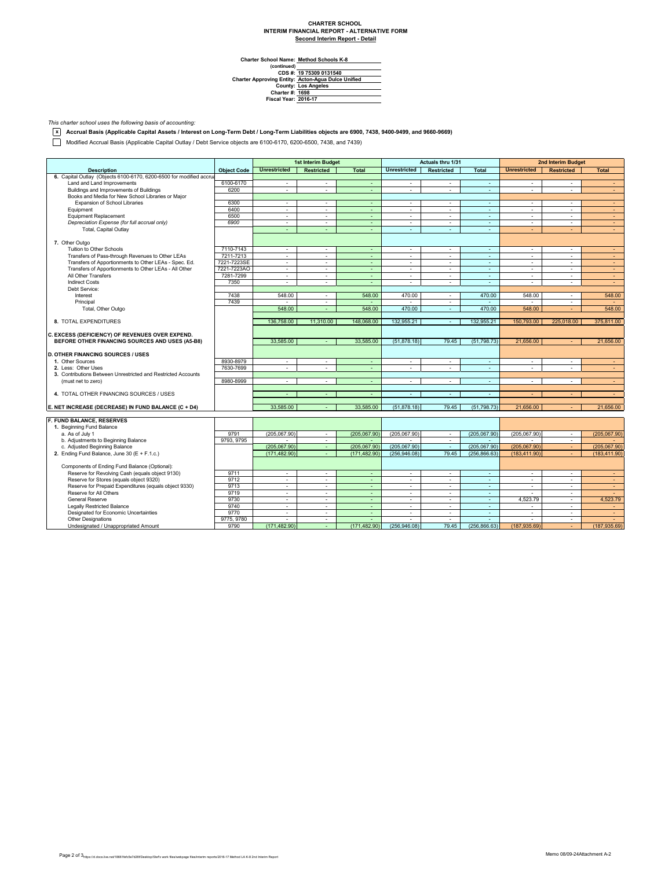## **CHARTER SCHOOL INTERIM FINANCIAL REPORT - ALTERNATIVE FORM Second Interim Report - Detail**

 $\overline{\phantom{0}}$ 

**Method Schools K-8**

Charter School Name<br>
(continued)<br>
CDS #:<br>
Charter Approving Entity:<br>
County:<br>
Charter #:<br>
Fiscal Year: **Los Angeles 1698 2016-17 19 75309 0131540 Acton-Agua Dulce Unified**

*This charter school uses the following basis of accounting:*

**x Accrual Basis (Applicable Capital Assets / Interest on Long-Term Debt / Long-Term Liabilities objects are 6900, 7438, 9400-9499, and 9660-9669)**

Modified Accrual Basis (Applicable Capital Outlay / Debt Service objects are 6100-6170, 6200-6500, 7438, and 7439)

|                                                                                                    |                    | 1st Interim Budget          |                   | Actuals thru 1/31 |                             |                          | <b>2nd Interim Budget</b> |                          |                   |               |
|----------------------------------------------------------------------------------------------------|--------------------|-----------------------------|-------------------|-------------------|-----------------------------|--------------------------|---------------------------|--------------------------|-------------------|---------------|
| <b>Description</b>                                                                                 | <b>Object Code</b> | <b>Unrestricted</b>         | <b>Restricted</b> | <b>Total</b>      | <b>Unrestricted</b>         | <b>Restricted</b>        | <b>Total</b>              | <b>Unrestricted</b>      | <b>Restricted</b> | <b>Total</b>  |
| 6. Capital Outlay (Objects 6100-6170, 6200-6500 for modified accrua                                |                    |                             |                   |                   |                             |                          |                           |                          |                   |               |
| Land and Land Improvements                                                                         | 6100-6170          | $\sim$                      | $\sim$            | ÷                 | $\overline{\phantom{a}}$    | $\sim$                   | $\sim$                    | $\sim$                   | ÷.                | $\sim$        |
| Buildings and Improvements of Buildings                                                            | 6200               | ÷.                          | ÷.                | $\sim$            | $\sim$                      | ÷.                       | $\sim$                    | ÷.                       | $\mathbf{r}$      | $\sim$        |
| Books and Media for New School Libraries or Major                                                  |                    |                             |                   |                   |                             |                          |                           |                          |                   |               |
| Expansion of School Libraries                                                                      | 6300               | ×.                          | $\sim$            | ä,                | ä,                          | ÷.                       | ÷.                        | $\sim$                   | ÷.                | $\sim$        |
| Equipment                                                                                          | 6400               | ÷.                          | $\sim$            | $\sim$            | $\sim$                      | $\sim$                   | $\sim$                    | $\sim$                   | $\mathbf{r}$      | $\sim$        |
| <b>Equipment Replacement</b>                                                                       | 6500               | $\mathcal{L}_{\mathcal{A}}$ | $\sim$            | $\sim$            | $\sim$                      | $\sim$                   | $\sim$                    | $\sim$                   | ٠                 | $\sim$        |
| Depreciation Expense (for full accrual only)                                                       | 6900               | $\sim$                      | $\sim$            | ÷                 | $\blacksquare$              | $\sim$                   | $\sim$                    | $\sim$                   | ÷.                | ÷             |
| Total, Capital Outlay                                                                              |                    | ÷                           | $\sim$            | ÷.                | ÷                           | ÷.                       | $\sim$                    | ÷                        | ÷                 | $\sim$        |
|                                                                                                    |                    |                             |                   |                   |                             |                          |                           |                          |                   |               |
| 7. Other Outgo                                                                                     |                    |                             |                   |                   |                             |                          |                           |                          |                   |               |
| Tuition to Other Schools                                                                           | 7110-7143          | $\sim$                      | $\sim$            | $\sim$            | $\sim$                      | $\sim$                   | $\sim$                    | $\sim$                   | ÷.                | $\sim$        |
| Transfers of Pass-through Revenues to Other LEAs                                                   | 7211-7213          | $\sim$                      | $\sim$            | $\sim$            | $\sim$                      | $\sim$                   | $\sim$                    | $\sim$                   | ٠                 | $\sim$        |
| Transfers of Apportionments to Other LEAs - Spec. Ed.                                              | 7221-7223SE        | $\sim$                      | $\sim$            | ÷.                | $\blacksquare$              | $\sim$                   | ÷.                        | $\sim$                   | ä,                | $\sim$        |
| Transfers of Apportionments to Other LEAs - All Other                                              | 7221-7223AO        | ÷.                          | $\sim$            | ÷.                | $\sim$                      | ÷.                       | $\sim$                    | ×.                       | ÷                 | $\sim$        |
| All Other Transfers                                                                                | 7281-7299          | $\sim$                      | $\sim$            | $\sim$            | $\sim$                      | $\sim$                   | $\sim$                    | $\sim$                   | $\sim$            | $\sim$        |
| <b>Indirect Costs</b>                                                                              | 7350               | $\mathbf{r}$                |                   |                   | $\mathbf{r}$                |                          | ä,                        | ä,                       | ÷.                | $\sim$        |
| Debt Service:                                                                                      |                    |                             |                   |                   |                             |                          |                           |                          |                   |               |
| Interest                                                                                           | 7438               | 548.00                      | $\sim$            | 548.00            | 470.00                      | $\sim$                   | 470.00                    | 548.00                   | $\sim$            | 548.00        |
|                                                                                                    | 7439               |                             | ٠                 |                   |                             | $\sim$                   |                           |                          | ٠                 |               |
| Principal                                                                                          |                    | 548.00                      |                   | 548.00            | 470.00                      |                          | 470.00                    | 548.00                   | ÷                 | 548.00        |
| Total, Other Outgo                                                                                 |                    |                             | $\sim$            |                   |                             | ÷                        |                           |                          |                   |               |
| 8. TOTAL EXPENDITURES                                                                              |                    | 136,758.00                  | 11,310.00         | 148,068.00        | 132,955.21                  | $\sim$                   | 132,955.21                | 150,793.00               | 225,018.00        | 375,811.00    |
|                                                                                                    |                    |                             |                   |                   |                             |                          |                           |                          |                   |               |
|                                                                                                    |                    |                             |                   |                   |                             |                          |                           |                          |                   |               |
| C. EXCESS (DEFICIENCY) OF REVENUES OVER EXPEND.<br>BEFORE OTHER FINANCING SOURCES AND USES (A5-B8) |                    | 33,585.00                   |                   | 33,585.00         | (51, 878.18)                | 79.45                    | (51, 798.73)              | 21,656.00                |                   | 21,656.00     |
|                                                                                                    |                    |                             |                   |                   |                             |                          |                           |                          |                   |               |
| <b>D. OTHER FINANCING SOURCES / USES</b>                                                           |                    |                             |                   |                   |                             |                          |                           |                          |                   |               |
| 1. Other Sources                                                                                   | 8930-8979          | $\sim$                      | $\sim$            | $\blacksquare$    | ä,                          | $\sim$                   | $\sim$                    | $\sim$                   | ÷,                | $\sim$        |
|                                                                                                    |                    |                             | $\sim$            |                   |                             |                          |                           | $\sim$                   | ÷.                |               |
| 2. Less: Other Uses                                                                                | 7630-7699          | $\sim$                      |                   | $\sim$            | $\sim$                      | $\sim$                   | $\sim$                    |                          |                   | $\sim$        |
| 3. Contributions Between Unrestricted and Restricted Accounts                                      |                    |                             |                   |                   |                             |                          |                           |                          |                   |               |
| (must net to zero)                                                                                 | 8980-8999          | ×.                          | $\sim$            | $\blacksquare$    | ä,                          | $\sim$                   | $\sim$                    | $\sim$                   | ÷,                | $\sim$        |
|                                                                                                    |                    |                             |                   |                   |                             |                          |                           |                          |                   |               |
| 4. TOTAL OTHER FINANCING SOURCES / USES                                                            |                    | $\overline{\phantom{a}}$    | $\sim$            | $\sim$            | $\mathcal{L}_{\mathcal{A}}$ | $\sim$                   | $\sim$                    |                          |                   | $\sim$        |
|                                                                                                    |                    | 33.585.00                   |                   |                   |                             |                          |                           |                          |                   | 21.656.00     |
| E. NET INCREASE (DECREASE) IN FUND BALANCE (C + D4)                                                |                    |                             |                   | 33.585.00         | (51, 878.18)                | 79.45                    | (51, 798.73)              | 21.656.00                |                   |               |
| F. FUND BALANCE, RESERVES                                                                          |                    |                             |                   |                   |                             |                          |                           |                          |                   |               |
| 1. Beginning Fund Balance                                                                          |                    |                             |                   |                   |                             |                          |                           |                          |                   |               |
| a. As of July 1                                                                                    | 9791               | (205, 067.90)               | $\sim$            | (205,067.90)      | (205,067.90)                | $\sim$                   | (205, 067.90)             | (205,067.90)             | $\sim$            | (205,067.90)  |
| b. Adjustments to Beginning Balance                                                                | 9793, 9795         |                             | $\sim$            |                   |                             | $\overline{\phantom{a}}$ |                           |                          | ٠                 |               |
| c. Adjusted Beginning Balance                                                                      |                    | (205.067.90)                |                   | (205.067.90)      | (205.067.90)                | $\sim$                   | (205.067.90)              | (205.067.90)             | $\sim$            | (205.067.90)  |
|                                                                                                    |                    | (171.482.90)                | $\sim$<br>$\sim$  | (171.482.90)      | (256.946.08)                | 79.45                    | (256.866.63)              | (183.411.90)             |                   |               |
| 2. Ending Fund Balance, June 30 (E + F.1.c.)                                                       |                    |                             |                   |                   |                             |                          |                           |                          |                   | (183, 411.90) |
|                                                                                                    |                    |                             |                   |                   |                             |                          |                           |                          |                   |               |
| Components of Ending Fund Balance (Optional):                                                      | 9711               |                             |                   |                   |                             |                          |                           |                          |                   |               |
| Reserve for Revolving Cash (equals object 9130)                                                    |                    | ×.                          | $\sim$            | ÷.                | $\sim$                      | $\sim$                   | $\sim$                    | $\sim$                   | $\mathbf{r}$      | $\sim$        |
| Reserve for Stores (equals object 9320)                                                            | 9712               | ×.                          | $\sim$            | ÷.                | ä,                          | $\sim$                   | $\omega$                  | $\sim$                   | ٠                 | $\sim$        |
| Reserve for Prepaid Expenditures (equals object 9330)                                              | 9713               | $\sim$                      | $\sim$            | $\sim$            | $\sim$                      | $\sim$                   | $\sim$                    | $\sim$                   | $\mathbf{r}$      | $\sim$        |
| Reserve for All Others                                                                             | 9719               | $\mathcal{L}_{\mathcal{A}}$ | $\sim$            | $\sim$            | $\sim$                      | $\sim$                   | $\sim$                    | $\mathbf{r}$             | $\sim$            | $\sim$        |
| <b>General Reserve</b>                                                                             | 9730               | ×.                          | $\sim$            | ÷.                | ä,                          | $\sim$                   | $\sim$                    | 4,523.79                 | ٠                 | 4,523.79      |
| <b>Legally Restricted Balance</b>                                                                  | 9740               | ÷                           | $\sim$            | $\sim$            | $\sim$                      | $\sim$                   | $\sim$                    | $\overline{a}$           | $\sim$            | $\sim$        |
| Designated for Economic Uncertainties                                                              | 9770               | $\sim$                      | $\sim$            | $\sim$            | $\overline{\phantom{a}}$    | $\sim$                   | $\sim$                    | $\overline{\phantom{a}}$ | $\mathbf{r}$      | $\sim$        |
| <b>Other Designations</b>                                                                          | 9775, 9780         | ÷.                          | $\sim$            | ÷                 |                             | $\sim$                   | ÷.                        |                          | ÷.                |               |
| Undesignated / Unappropriated Amount                                                               | 9790               | (171, 482.90)               | $\sim$            | (171.482.90)      | (256, 946.08)               | 79.45                    | (256, 866.63)             | (187.935.69)             | ÷                 | (187, 935.69) |